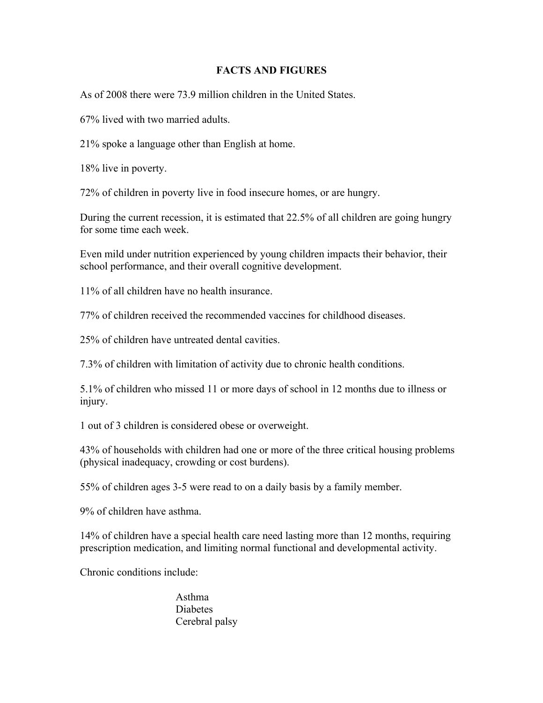## **FACTS AND FIGURES**

As of 2008 there were 73.9 million children in the United States.

67% lived with two married adults.

21% spoke a language other than English at home.

18% live in poverty.

72% of children in poverty live in food insecure homes, or are hungry.

During the current recession, it is estimated that 22.5% of all children are going hungry for some time each week.

Even mild under nutrition experienced by young children impacts their behavior, their school performance, and their overall cognitive development.

11% of all children have no health insurance.

77% of children received the recommended vaccines for childhood diseases.

25% of children have untreated dental cavities.

7.3% of children with limitation of activity due to chronic health conditions.

5.1% of children who missed 11 or more days of school in 12 months due to illness or injury.

1 out of 3 children is considered obese or overweight.

43% of households with children had one or more of the three critical housing problems (physical inadequacy, crowding or cost burdens).

55% of children ages 3-5 were read to on a daily basis by a family member.

9% of children have asthma.

14% of children have a special health care need lasting more than 12 months, requiring prescription medication, and limiting normal functional and developmental activity.

Chronic conditions include:

Asthma Diabetes Cerebral palsy